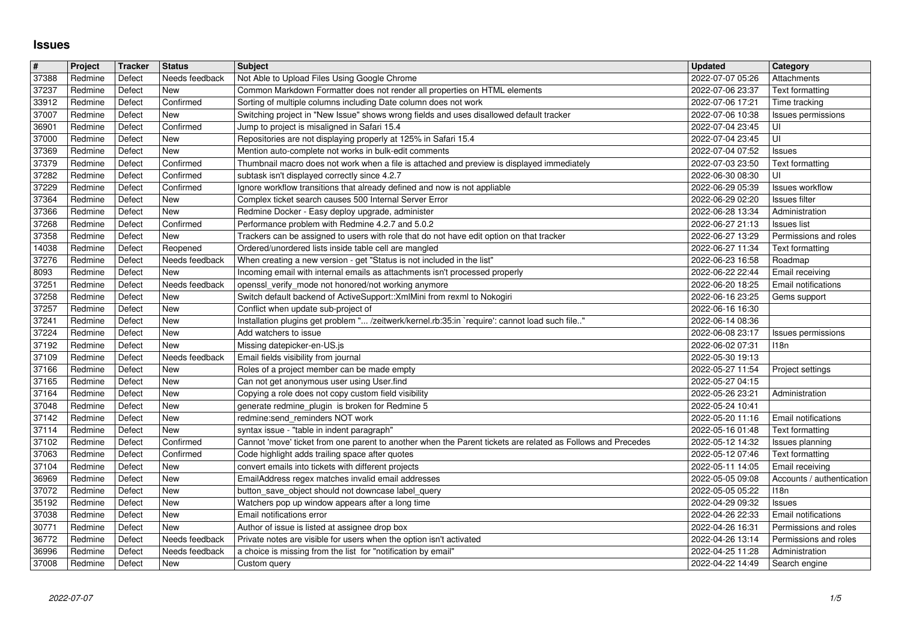## **Issues**

| $\pmb{\#}$     | Project            | Tracker          | <b>Status</b>          | Subject                                                                                                                                      | <b>Updated</b>                       | Category                                            |
|----------------|--------------------|------------------|------------------------|----------------------------------------------------------------------------------------------------------------------------------------------|--------------------------------------|-----------------------------------------------------|
| 37388<br>37237 | Redmine<br>Redmine | Defect<br>Defect | Needs feedback<br>New  | Not Able to Upload Files Using Google Chrome<br>Common Markdown Formatter does not render all properties on HTML elements                    | 2022-07-07 05:26<br>2022-07-06 23:37 | Attachments<br><b>Text formatting</b>               |
| 33912          | Redmine            | Defect           | Confirmed              | Sorting of multiple columns including Date column does not work                                                                              | 2022-07-06 17:21                     | Time tracking                                       |
| 37007          | Redmine            | Defect           | New                    | Switching project in "New Issue" shows wrong fields and uses disallowed default tracker                                                      | 2022-07-06 10:38                     | Issues permissions                                  |
| 36901<br>37000 | Redmine<br>Redmine | Defect<br>Defect | Confirmed<br>New       | Jump to project is misaligned in Safari 15.4<br>Repositories are not displaying properly at 125% in Safari 15.4                              | 2022-07-04 23:45<br>2022-07-04 23:45 | UI<br>UI                                            |
| 37369          | Redmine            | Defect           | New                    | Mention auto-complete not works in bulk-edit comments                                                                                        | 2022-07-04 07:52                     | <b>Issues</b>                                       |
| 37379          | Redmine            | Defect           | Confirmed              | Thumbnail macro does not work when a file is attached and preview is displayed immediately                                                   | 2022-07-03 23:50                     | Text formatting                                     |
| 37282<br>37229 | Redmine<br>Redmine | Defect<br>Defect | Confirmed<br>Confirmed | subtask isn't displayed correctly since 4.2.7<br>Ignore workflow transitions that already defined and now is not appliable                   | 2022-06-30 08:30<br>2022-06-29 05:39 | UI<br><b>Issues workflow</b>                        |
| 37364          | Redmine            | Defect           | New                    | Complex ticket search causes 500 Internal Server Error                                                                                       | 2022-06-29 02:20                     | Issues filter                                       |
| 37366          | Redmine            | Defect           | New                    | Redmine Docker - Easy deploy upgrade, administer                                                                                             | 2022-06-28 13:34                     | Administration                                      |
| 37268<br>37358 | Redmine<br>Redmine | Defect<br>Defect | Confirmed<br>New       | Performance problem with Redmine 4.2.7 and 5.0.2<br>Trackers can be assigned to users with role that do not have edit option on that tracker | 2022-06-27 21:13<br>2022-06-27 13:29 | <b>Issues</b> list<br>Permissions and roles         |
| 14038          | Redmine            | Defect           | Reopened               | Ordered/unordered lists inside table cell are mangled                                                                                        | 2022-06-27 11:34                     | Text formatting                                     |
| 37276          | Redmine            | Defect           | Needs feedback         | When creating a new version - get "Status is not included in the list"                                                                       | 2022-06-23 16:58                     | Roadmap                                             |
| 8093<br>37251  | Redmine<br>Redmine | Defect<br>Defect | New<br>Needs feedback  | Incoming email with internal emails as attachments isn't processed properly<br>openssl_verify_mode not honored/not working anymore           | 2022-06-22 22:44<br>2022-06-20 18:25 | Email receiving<br>Email notifications              |
| 37258          | Redmine            | Defect           | New                    | Switch default backend of ActiveSupport:: XmlMini from rexml to Nokogiri                                                                     | 2022-06-16 23:25                     | Gems support                                        |
| 37257          | Redmine            | Defect           | New                    | Conflict when update sub-project of                                                                                                          | 2022-06-16 16:30                     |                                                     |
| 37241<br>37224 | Redmine<br>Redmine | Defect<br>Defect | New<br>New             | Installation plugins get problem " /zeitwerk/kernel.rb:35:in `require': cannot load such file"<br>Add watchers to issue                      | 2022-06-14 08:36<br>2022-06-08 23:17 | Issues permissions                                  |
| 37192          | Redmine            | Defect           | New                    | Missing datepicker-en-US.js                                                                                                                  | 2022-06-02 07:31                     | 118 <sub>n</sub>                                    |
| 37109          | Redmine            | Defect           | Needs feedback         | Email fields visibility from journal                                                                                                         | 2022-05-30 19:13                     |                                                     |
| 37166<br>37165 | Redmine<br>Redmine | Defect<br>Defect | New<br>New             | Roles of a project member can be made empty<br>Can not get anonymous user using User.find                                                    | 2022-05-27 11:54<br>2022-05-27 04:15 | Project settings                                    |
| 37164          | Redmine            | Defect           | New                    | Copying a role does not copy custom field visibility                                                                                         | 2022-05-26 23:21                     | Administration                                      |
| 37048          | Redmine            | Defect           | New                    | generate redmine_plugin is broken for Redmine 5                                                                                              | 2022-05-24 10:41                     |                                                     |
| 37142<br>37114 | Redmine<br>Redmine | Defect<br>Defect | New<br>New             | redmine:send_reminders NOT work<br>syntax issue - "table in indent paragraph"                                                                | 2022-05-20 11:16<br>2022-05-16 01:48 | Email notifications<br>Text formatting              |
| 37102          | Redmine            | Defect           | Confirmed              | Cannot 'move' ticket from one parent to another when the Parent tickets are related as Follows and Precedes                                  | 2022-05-12 14:32                     | Issues planning                                     |
| 37063          | Redmine            | Defect           | Confirmed              | Code highlight adds trailing space after quotes                                                                                              | 2022-05-12 07:46                     | Text formatting                                     |
| 37104<br>36969 | Redmine<br>Redmine | Defect<br>Defect | New<br>New             | convert emails into tickets with different projects<br>EmailAddress regex matches invalid email addresses                                    | 2022-05-11 14:05<br>2022-05-05 09:08 | Email receiving<br>Accounts / authentication        |
| 37072          | Redmine            | Defect           | New                    | button_save_object should not downcase label_query                                                                                           | 2022-05-05 05:22                     | 118n                                                |
| 35192          | Redmine            | Defect           | New                    | Watchers pop up window appears after a long time                                                                                             | 2022-04-29 09:32                     | <b>Issues</b>                                       |
| 37038<br>30771 | Redmine<br>Redmine | Defect<br>Defect | <b>New</b><br>New      | Email notifications error<br>Author of issue is listed at assignee drop box                                                                  | 2022-04-26 22:33<br>2022-04-26 16:31 | <b>Email notifications</b><br>Permissions and roles |
| 36772          | Redmine            | Defect           | Needs feedback         | Private notes are visible for users when the option isn't activated                                                                          | 2022-04-26 13:14                     | Permissions and roles                               |
| 36996<br>37008 | Redmine<br>Redmine | Defect<br>Defect | Needs feedback<br>New  | a choice is missing from the list for "notification by email"<br>Custom query                                                                | 2022-04-25 11:28<br>2022-04-22 14:49 | Administration<br>Search engine                     |
|                |                    |                  |                        |                                                                                                                                              |                                      |                                                     |
|                |                    |                  |                        |                                                                                                                                              |                                      |                                                     |
|                |                    |                  |                        |                                                                                                                                              |                                      |                                                     |
|                |                    |                  |                        |                                                                                                                                              |                                      |                                                     |
|                |                    |                  |                        |                                                                                                                                              |                                      |                                                     |
|                |                    |                  |                        |                                                                                                                                              |                                      |                                                     |
|                |                    |                  |                        |                                                                                                                                              |                                      |                                                     |
|                |                    |                  |                        |                                                                                                                                              |                                      |                                                     |
|                |                    |                  |                        |                                                                                                                                              |                                      |                                                     |
|                |                    |                  |                        |                                                                                                                                              |                                      |                                                     |
|                |                    |                  |                        |                                                                                                                                              |                                      |                                                     |
|                |                    |                  |                        |                                                                                                                                              |                                      |                                                     |
|                |                    |                  |                        |                                                                                                                                              |                                      |                                                     |
|                |                    |                  |                        |                                                                                                                                              |                                      |                                                     |
|                |                    |                  |                        |                                                                                                                                              |                                      |                                                     |
|                |                    |                  |                        |                                                                                                                                              |                                      |                                                     |
|                |                    |                  |                        |                                                                                                                                              |                                      |                                                     |
|                |                    |                  |                        |                                                                                                                                              |                                      |                                                     |
|                |                    |                  |                        |                                                                                                                                              |                                      |                                                     |
|                |                    |                  |                        |                                                                                                                                              |                                      |                                                     |
|                |                    |                  |                        |                                                                                                                                              |                                      |                                                     |
|                |                    |                  |                        |                                                                                                                                              |                                      |                                                     |
|                |                    |                  |                        |                                                                                                                                              |                                      |                                                     |
|                |                    |                  |                        |                                                                                                                                              |                                      |                                                     |
|                |                    |                  |                        |                                                                                                                                              |                                      |                                                     |
|                |                    |                  |                        |                                                                                                                                              |                                      |                                                     |
|                |                    |                  |                        |                                                                                                                                              |                                      |                                                     |
|                |                    |                  |                        |                                                                                                                                              |                                      |                                                     |
|                |                    |                  |                        |                                                                                                                                              |                                      |                                                     |
|                |                    |                  |                        |                                                                                                                                              |                                      |                                                     |
|                |                    |                  |                        |                                                                                                                                              |                                      |                                                     |
|                |                    |                  |                        |                                                                                                                                              |                                      |                                                     |
|                |                    |                  |                        |                                                                                                                                              |                                      |                                                     |
|                |                    |                  |                        |                                                                                                                                              |                                      |                                                     |
|                |                    |                  |                        |                                                                                                                                              |                                      |                                                     |
|                |                    |                  |                        |                                                                                                                                              |                                      |                                                     |
|                |                    |                  |                        |                                                                                                                                              |                                      |                                                     |
|                |                    |                  |                        |                                                                                                                                              |                                      |                                                     |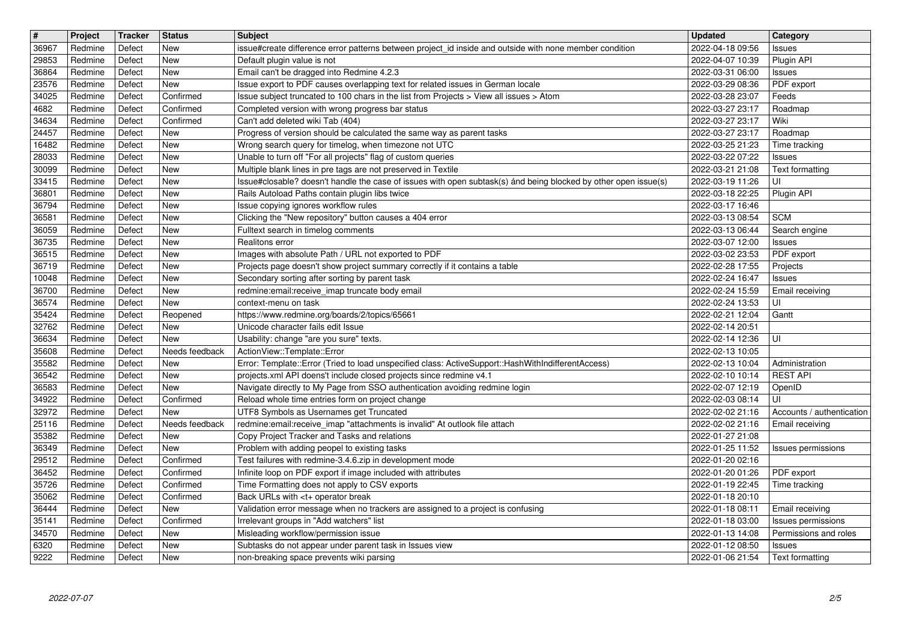| New<br>2022-04-18 09:56<br>Redmine<br>Defect<br>issue#create difference error patterns between project_id inside and outside with none member condition<br><b>Issues</b><br>Redmine<br>Defect<br>New<br>Default plugin value is not<br>2022-04-07 10:39<br>Plugin API<br>29853<br>Email can't be dragged into Redmine 4.2.3<br>New<br>Redmine<br>Defect<br>2022-03-31 06:00<br>36864<br><b>Issues</b><br>Issue export to PDF causes overlapping text for related issues in German locale<br>23576<br>New<br>2022-03-29 08:36<br>PDF export<br>Redmine<br>Defect<br>Issue subject truncated to 100 chars in the list from Projects > View all issues > Atom<br>34025<br>Confirmed<br>Redmine<br>Defect<br>2022-03-28 23:07<br>Feeds<br>Redmine<br>Defect<br>Confirmed<br>Completed version with wrong progress bar status<br>2022-03-27 23:17<br>Roadmap<br>Confirmed<br>Can't add deleted wiki Tab (404)<br>2022-03-27 23:17<br>Wiki<br>34634<br>Redmine<br>Defect<br>24457<br>Progress of version should be calculated the same way as parent tasks<br>Redmine<br>Defect<br>New<br>2022-03-27 23:17<br>Roadmap<br>Defect<br>New<br>Wrong search query for timelog, when timezone not UTC<br>16482<br>Redmine<br>2022-03-25 21:23<br>Time tracking<br>Unable to turn off "For all projects" flag of custom queries<br>Defect<br>New<br>Redmine<br>2022-03-22 07:22<br><b>Issues</b><br>30099<br>Redmine<br>Defect<br>New<br>Multiple blank lines in pre tags are not preserved in Textile<br>2022-03-21 21:08<br>Text formatting<br>Issue#closable? doesn't handle the case of issues with open subtask(s) ánd being blocked by other open issue(s)<br>33415<br>New<br>2022-03-19 11:26<br>UI<br>Redmine<br>Defect<br>36801<br>New<br>Rails Autoload Paths contain plugin libs twice<br>Plugin API<br>Redmine<br>Defect<br>2022-03-18 22:25<br>36794<br>New<br>Issue copying ignores workflow rules<br>2022-03-17 16:46<br>Redmine<br>Defect<br>Clicking the "New repository" button causes a 404 error<br>New<br><b>SCM</b><br>Redmine<br>Defect<br>2022-03-13 08:54<br>36059<br>Fulltext search in timelog comments<br>Redmine<br>Defect<br>New<br>2022-03-13 06:44<br>Search engine<br>36735<br>New<br>Realitons error<br>Redmine<br>Defect<br>2022-03-07 12:00<br><b>Issues</b><br>36515<br>Defect<br>New<br>PDF export<br>Redmine<br>Images with absolute Path / URL not exported to PDF<br>2022-03-02 23:53<br>36719<br>Defect<br>New<br>Projects page doesn't show project summary correctly if it contains a table<br>Redmine<br>2022-02-28 17:55<br>Projects<br>10048<br>Redmine<br>Defect<br>New<br>Secondary sorting after sorting by parent task<br>2022-02-24 16:47<br>Issues<br>36700<br>Redmine<br>New<br>redmine:email:receive_imap truncate body email<br>2022-02-24 15:59<br>Defect<br>Email receiving<br>36574<br>Defect<br>New<br>2022-02-24 13:53<br>UI<br>Redmine<br>context-menu on task<br>35424<br>Reopened<br>https://www.redmine.org/boards/2/topics/65661<br>2022-02-21 12:04<br>Redmine<br>Defect<br>Gantt<br>32762<br>New<br>Unicode character fails edit Issue<br>Redmine<br>Defect<br>2022-02-14 20:51<br>Usability: change "are you sure" texts.<br>36634<br>Redmine<br>Defect<br>New<br>2022-02-14 12:36<br>UI<br>ActionView::Template::Error<br>35608<br>Redmine<br>Defect<br>Needs feedback<br>2022-02-13 10:05<br>35582<br>New<br>Error: Template::Error (Tried to load unspecified class: ActiveSupport::HashWithIndifferentAccess)<br>Redmine<br>Defect<br>2022-02-13 10:04<br>Administration<br><b>REST API</b><br>36542<br>Defect<br>New<br>projects.xml API doens't include closed projects since redmine v4.1<br>Redmine<br>2022-02-10 10:14<br>Navigate directly to My Page from SSO authentication avoiding redmine login<br>36583<br>Redmine<br>Defect<br>New<br>2022-02-07 12:19<br>OpenID<br>Confirmed<br>Reload whole time entries form on project change<br>UI<br>Redmine<br>Defect<br>2022-02-03 08:14<br>New<br>UTF8 Symbols as Usernames get Truncated<br>2022-02-02 21:16<br>Redmine<br>Defect<br>Accounts / authentication<br>25116<br>redmine:email:receive_imap "attachments is invalid" At outlook file attach<br>Redmine<br>Defect<br>Needs feedback<br>2022-02-02 21:16<br>Email receiving<br>35382<br>Copy Project Tracker and Tasks and relations<br>2022-01-27 21:08<br>Redmine<br>Defect<br>New<br>Problem with adding peopel to existing tasks<br>36349<br>Redmine<br>Defect<br>New<br>2022-01-25 11:52<br>Issues permissions<br>Confirmed<br>Test failures with redmine-3.4.6.zip in development mode<br>Redmine<br>Defect<br>2022-01-20 02:16<br>36452<br>Infinite loop on PDF export if image included with attributes<br>Redmine<br>Defect<br>Confirmed<br>2022-01-20 01:26<br>PDF export<br>35726<br>Time Formatting does not apply to CSV exports<br>Redmine<br>Defect<br>Confirmed<br>2022-01-19 22:45<br>Time tracking<br>35062<br>Defect<br>Confirmed<br>Back URLs with <t+ break<br="" operator="">2022-01-18 20:10<br/>Redmine<br/>36444<br/>Redmine<br/>Defect<br/>New<br/>2022-01-18 08:11   Email receiving<br/>Validation error message when no trackers are assigned to a project is confusing<br/>Confirmed<br/>Irrelevant groups in "Add watchers" list<br/>Redmine<br/>Defect<br/>2022-01-18 03:00<br/>Issues permissions<br/>Misleading workflow/permission issue<br/>Permissions and roles<br/>Redmine<br/>Defect<br/>New<br/>2022-01-13 14:08<br/>Subtasks do not appear under parent task in Issues view<br/>6320<br/>Redmine<br/>Defect<br/>New<br/>2022-01-12 08:50<br/><b>Issues</b><br/>9222<br/>Defect<br/>non-breaking space prevents wiki parsing<br/>2022-01-06 21:54<br/>Text formatting<br/>Redmine<br/>New<br/>2/5<br/>2022-07-07</t+> | $\boxed{\texttt{#}}$ | Project | Tracker | Status | <b>Subject</b> | <b>Updated</b> | Category |
|-------------------------------------------------------------------------------------------------------------------------------------------------------------------------------------------------------------------------------------------------------------------------------------------------------------------------------------------------------------------------------------------------------------------------------------------------------------------------------------------------------------------------------------------------------------------------------------------------------------------------------------------------------------------------------------------------------------------------------------------------------------------------------------------------------------------------------------------------------------------------------------------------------------------------------------------------------------------------------------------------------------------------------------------------------------------------------------------------------------------------------------------------------------------------------------------------------------------------------------------------------------------------------------------------------------------------------------------------------------------------------------------------------------------------------------------------------------------------------------------------------------------------------------------------------------------------------------------------------------------------------------------------------------------------------------------------------------------------------------------------------------------------------------------------------------------------------------------------------------------------------------------------------------------------------------------------------------------------------------------------------------------------------------------------------------------------------------------------------------------------------------------------------------------------------------------------------------------------------------------------------------------------------------------------------------------------------------------------------------------------------------------------------------------------------------------------------------------------------------------------------------------------------------------------------------------------------------------------------------------------------------------------------------------------------------------------------------------------------------------------------------------------------------------------------------------------------------------------------------------------------------------------------------------------------------------------------------------------------------------------------------------------------------------------------------------------------------------------------------------------------------------------------------------------------------------------------------------------------------------------------------------------------------------------------------------------------------------------------------------------------------------------------------------------------------------------------------------------------------------------------------------------------------------------------------------------------------------------------------------------------------------------------------------------------------------------------------------------------------------------------------------------------------------------------------------------------------------------------------------------------------------------------------------------------------------------------------------------------------------------------------------------------------------------------------------------------------------------------------------------------------------------------------------------------------------------------------------------------------------------------------------------------------------------------------------------------------------------------------------------------------------------------------------------------------------------------------------------------------------------------------------------------------------------------------------------------------------------------------------------------------------------------------------------------------------------------------------------------------------------------------------------------------------------------------------------------------------------------------------------------------------------------------------------------------------------------------------------------------------------------------------------------------------------------------------------------------------------------------------------------------------------------------------------------------------------------------------------------------------------------------------------------------------------------------------------------------------------------------------------------------------------------------------------------------------------------------------------------------------------------------------------------------------------------------------------------------------------------------------------------------------------------------------------------------------------------------------------------------------|----------------------|---------|---------|--------|----------------|----------------|----------|
|                                                                                                                                                                                                                                                                                                                                                                                                                                                                                                                                                                                                                                                                                                                                                                                                                                                                                                                                                                                                                                                                                                                                                                                                                                                                                                                                                                                                                                                                                                                                                                                                                                                                                                                                                                                                                                                                                                                                                                                                                                                                                                                                                                                                                                                                                                                                                                                                                                                                                                                                                                                                                                                                                                                                                                                                                                                                                                                                                                                                                                                                                                                                                                                                                                                                                                                                                                                                                                                                                                                                                                                                                                                                                                                                                                                                                                                                                                                                                                                                                                                                                                                                                                                                                                                                                                                                                                                                                                                                                                                                                                                                                                                                                                                                                                                                                                                                                                                                                                                                                                                                                                                                                                                                                                                                                                                                                                                                                                                                                                                                                                                                                                                                                                                                           | 36967                |         |         |        |                |                |          |
|                                                                                                                                                                                                                                                                                                                                                                                                                                                                                                                                                                                                                                                                                                                                                                                                                                                                                                                                                                                                                                                                                                                                                                                                                                                                                                                                                                                                                                                                                                                                                                                                                                                                                                                                                                                                                                                                                                                                                                                                                                                                                                                                                                                                                                                                                                                                                                                                                                                                                                                                                                                                                                                                                                                                                                                                                                                                                                                                                                                                                                                                                                                                                                                                                                                                                                                                                                                                                                                                                                                                                                                                                                                                                                                                                                                                                                                                                                                                                                                                                                                                                                                                                                                                                                                                                                                                                                                                                                                                                                                                                                                                                                                                                                                                                                                                                                                                                                                                                                                                                                                                                                                                                                                                                                                                                                                                                                                                                                                                                                                                                                                                                                                                                                                                           |                      |         |         |        |                |                |          |
|                                                                                                                                                                                                                                                                                                                                                                                                                                                                                                                                                                                                                                                                                                                                                                                                                                                                                                                                                                                                                                                                                                                                                                                                                                                                                                                                                                                                                                                                                                                                                                                                                                                                                                                                                                                                                                                                                                                                                                                                                                                                                                                                                                                                                                                                                                                                                                                                                                                                                                                                                                                                                                                                                                                                                                                                                                                                                                                                                                                                                                                                                                                                                                                                                                                                                                                                                                                                                                                                                                                                                                                                                                                                                                                                                                                                                                                                                                                                                                                                                                                                                                                                                                                                                                                                                                                                                                                                                                                                                                                                                                                                                                                                                                                                                                                                                                                                                                                                                                                                                                                                                                                                                                                                                                                                                                                                                                                                                                                                                                                                                                                                                                                                                                                                           |                      |         |         |        |                |                |          |
|                                                                                                                                                                                                                                                                                                                                                                                                                                                                                                                                                                                                                                                                                                                                                                                                                                                                                                                                                                                                                                                                                                                                                                                                                                                                                                                                                                                                                                                                                                                                                                                                                                                                                                                                                                                                                                                                                                                                                                                                                                                                                                                                                                                                                                                                                                                                                                                                                                                                                                                                                                                                                                                                                                                                                                                                                                                                                                                                                                                                                                                                                                                                                                                                                                                                                                                                                                                                                                                                                                                                                                                                                                                                                                                                                                                                                                                                                                                                                                                                                                                                                                                                                                                                                                                                                                                                                                                                                                                                                                                                                                                                                                                                                                                                                                                                                                                                                                                                                                                                                                                                                                                                                                                                                                                                                                                                                                                                                                                                                                                                                                                                                                                                                                                                           |                      |         |         |        |                |                |          |
|                                                                                                                                                                                                                                                                                                                                                                                                                                                                                                                                                                                                                                                                                                                                                                                                                                                                                                                                                                                                                                                                                                                                                                                                                                                                                                                                                                                                                                                                                                                                                                                                                                                                                                                                                                                                                                                                                                                                                                                                                                                                                                                                                                                                                                                                                                                                                                                                                                                                                                                                                                                                                                                                                                                                                                                                                                                                                                                                                                                                                                                                                                                                                                                                                                                                                                                                                                                                                                                                                                                                                                                                                                                                                                                                                                                                                                                                                                                                                                                                                                                                                                                                                                                                                                                                                                                                                                                                                                                                                                                                                                                                                                                                                                                                                                                                                                                                                                                                                                                                                                                                                                                                                                                                                                                                                                                                                                                                                                                                                                                                                                                                                                                                                                                                           | 4682                 |         |         |        |                |                |          |
|                                                                                                                                                                                                                                                                                                                                                                                                                                                                                                                                                                                                                                                                                                                                                                                                                                                                                                                                                                                                                                                                                                                                                                                                                                                                                                                                                                                                                                                                                                                                                                                                                                                                                                                                                                                                                                                                                                                                                                                                                                                                                                                                                                                                                                                                                                                                                                                                                                                                                                                                                                                                                                                                                                                                                                                                                                                                                                                                                                                                                                                                                                                                                                                                                                                                                                                                                                                                                                                                                                                                                                                                                                                                                                                                                                                                                                                                                                                                                                                                                                                                                                                                                                                                                                                                                                                                                                                                                                                                                                                                                                                                                                                                                                                                                                                                                                                                                                                                                                                                                                                                                                                                                                                                                                                                                                                                                                                                                                                                                                                                                                                                                                                                                                                                           |                      |         |         |        |                |                |          |
|                                                                                                                                                                                                                                                                                                                                                                                                                                                                                                                                                                                                                                                                                                                                                                                                                                                                                                                                                                                                                                                                                                                                                                                                                                                                                                                                                                                                                                                                                                                                                                                                                                                                                                                                                                                                                                                                                                                                                                                                                                                                                                                                                                                                                                                                                                                                                                                                                                                                                                                                                                                                                                                                                                                                                                                                                                                                                                                                                                                                                                                                                                                                                                                                                                                                                                                                                                                                                                                                                                                                                                                                                                                                                                                                                                                                                                                                                                                                                                                                                                                                                                                                                                                                                                                                                                                                                                                                                                                                                                                                                                                                                                                                                                                                                                                                                                                                                                                                                                                                                                                                                                                                                                                                                                                                                                                                                                                                                                                                                                                                                                                                                                                                                                                                           |                      |         |         |        |                |                |          |
|                                                                                                                                                                                                                                                                                                                                                                                                                                                                                                                                                                                                                                                                                                                                                                                                                                                                                                                                                                                                                                                                                                                                                                                                                                                                                                                                                                                                                                                                                                                                                                                                                                                                                                                                                                                                                                                                                                                                                                                                                                                                                                                                                                                                                                                                                                                                                                                                                                                                                                                                                                                                                                                                                                                                                                                                                                                                                                                                                                                                                                                                                                                                                                                                                                                                                                                                                                                                                                                                                                                                                                                                                                                                                                                                                                                                                                                                                                                                                                                                                                                                                                                                                                                                                                                                                                                                                                                                                                                                                                                                                                                                                                                                                                                                                                                                                                                                                                                                                                                                                                                                                                                                                                                                                                                                                                                                                                                                                                                                                                                                                                                                                                                                                                                                           | 28033                |         |         |        |                |                |          |
|                                                                                                                                                                                                                                                                                                                                                                                                                                                                                                                                                                                                                                                                                                                                                                                                                                                                                                                                                                                                                                                                                                                                                                                                                                                                                                                                                                                                                                                                                                                                                                                                                                                                                                                                                                                                                                                                                                                                                                                                                                                                                                                                                                                                                                                                                                                                                                                                                                                                                                                                                                                                                                                                                                                                                                                                                                                                                                                                                                                                                                                                                                                                                                                                                                                                                                                                                                                                                                                                                                                                                                                                                                                                                                                                                                                                                                                                                                                                                                                                                                                                                                                                                                                                                                                                                                                                                                                                                                                                                                                                                                                                                                                                                                                                                                                                                                                                                                                                                                                                                                                                                                                                                                                                                                                                                                                                                                                                                                                                                                                                                                                                                                                                                                                                           |                      |         |         |        |                |                |          |
|                                                                                                                                                                                                                                                                                                                                                                                                                                                                                                                                                                                                                                                                                                                                                                                                                                                                                                                                                                                                                                                                                                                                                                                                                                                                                                                                                                                                                                                                                                                                                                                                                                                                                                                                                                                                                                                                                                                                                                                                                                                                                                                                                                                                                                                                                                                                                                                                                                                                                                                                                                                                                                                                                                                                                                                                                                                                                                                                                                                                                                                                                                                                                                                                                                                                                                                                                                                                                                                                                                                                                                                                                                                                                                                                                                                                                                                                                                                                                                                                                                                                                                                                                                                                                                                                                                                                                                                                                                                                                                                                                                                                                                                                                                                                                                                                                                                                                                                                                                                                                                                                                                                                                                                                                                                                                                                                                                                                                                                                                                                                                                                                                                                                                                                                           |                      |         |         |        |                |                |          |
|                                                                                                                                                                                                                                                                                                                                                                                                                                                                                                                                                                                                                                                                                                                                                                                                                                                                                                                                                                                                                                                                                                                                                                                                                                                                                                                                                                                                                                                                                                                                                                                                                                                                                                                                                                                                                                                                                                                                                                                                                                                                                                                                                                                                                                                                                                                                                                                                                                                                                                                                                                                                                                                                                                                                                                                                                                                                                                                                                                                                                                                                                                                                                                                                                                                                                                                                                                                                                                                                                                                                                                                                                                                                                                                                                                                                                                                                                                                                                                                                                                                                                                                                                                                                                                                                                                                                                                                                                                                                                                                                                                                                                                                                                                                                                                                                                                                                                                                                                                                                                                                                                                                                                                                                                                                                                                                                                                                                                                                                                                                                                                                                                                                                                                                                           |                      |         |         |        |                |                |          |
|                                                                                                                                                                                                                                                                                                                                                                                                                                                                                                                                                                                                                                                                                                                                                                                                                                                                                                                                                                                                                                                                                                                                                                                                                                                                                                                                                                                                                                                                                                                                                                                                                                                                                                                                                                                                                                                                                                                                                                                                                                                                                                                                                                                                                                                                                                                                                                                                                                                                                                                                                                                                                                                                                                                                                                                                                                                                                                                                                                                                                                                                                                                                                                                                                                                                                                                                                                                                                                                                                                                                                                                                                                                                                                                                                                                                                                                                                                                                                                                                                                                                                                                                                                                                                                                                                                                                                                                                                                                                                                                                                                                                                                                                                                                                                                                                                                                                                                                                                                                                                                                                                                                                                                                                                                                                                                                                                                                                                                                                                                                                                                                                                                                                                                                                           | 36581                |         |         |        |                |                |          |
|                                                                                                                                                                                                                                                                                                                                                                                                                                                                                                                                                                                                                                                                                                                                                                                                                                                                                                                                                                                                                                                                                                                                                                                                                                                                                                                                                                                                                                                                                                                                                                                                                                                                                                                                                                                                                                                                                                                                                                                                                                                                                                                                                                                                                                                                                                                                                                                                                                                                                                                                                                                                                                                                                                                                                                                                                                                                                                                                                                                                                                                                                                                                                                                                                                                                                                                                                                                                                                                                                                                                                                                                                                                                                                                                                                                                                                                                                                                                                                                                                                                                                                                                                                                                                                                                                                                                                                                                                                                                                                                                                                                                                                                                                                                                                                                                                                                                                                                                                                                                                                                                                                                                                                                                                                                                                                                                                                                                                                                                                                                                                                                                                                                                                                                                           |                      |         |         |        |                |                |          |
|                                                                                                                                                                                                                                                                                                                                                                                                                                                                                                                                                                                                                                                                                                                                                                                                                                                                                                                                                                                                                                                                                                                                                                                                                                                                                                                                                                                                                                                                                                                                                                                                                                                                                                                                                                                                                                                                                                                                                                                                                                                                                                                                                                                                                                                                                                                                                                                                                                                                                                                                                                                                                                                                                                                                                                                                                                                                                                                                                                                                                                                                                                                                                                                                                                                                                                                                                                                                                                                                                                                                                                                                                                                                                                                                                                                                                                                                                                                                                                                                                                                                                                                                                                                                                                                                                                                                                                                                                                                                                                                                                                                                                                                                                                                                                                                                                                                                                                                                                                                                                                                                                                                                                                                                                                                                                                                                                                                                                                                                                                                                                                                                                                                                                                                                           |                      |         |         |        |                |                |          |
|                                                                                                                                                                                                                                                                                                                                                                                                                                                                                                                                                                                                                                                                                                                                                                                                                                                                                                                                                                                                                                                                                                                                                                                                                                                                                                                                                                                                                                                                                                                                                                                                                                                                                                                                                                                                                                                                                                                                                                                                                                                                                                                                                                                                                                                                                                                                                                                                                                                                                                                                                                                                                                                                                                                                                                                                                                                                                                                                                                                                                                                                                                                                                                                                                                                                                                                                                                                                                                                                                                                                                                                                                                                                                                                                                                                                                                                                                                                                                                                                                                                                                                                                                                                                                                                                                                                                                                                                                                                                                                                                                                                                                                                                                                                                                                                                                                                                                                                                                                                                                                                                                                                                                                                                                                                                                                                                                                                                                                                                                                                                                                                                                                                                                                                                           |                      |         |         |        |                |                |          |
|                                                                                                                                                                                                                                                                                                                                                                                                                                                                                                                                                                                                                                                                                                                                                                                                                                                                                                                                                                                                                                                                                                                                                                                                                                                                                                                                                                                                                                                                                                                                                                                                                                                                                                                                                                                                                                                                                                                                                                                                                                                                                                                                                                                                                                                                                                                                                                                                                                                                                                                                                                                                                                                                                                                                                                                                                                                                                                                                                                                                                                                                                                                                                                                                                                                                                                                                                                                                                                                                                                                                                                                                                                                                                                                                                                                                                                                                                                                                                                                                                                                                                                                                                                                                                                                                                                                                                                                                                                                                                                                                                                                                                                                                                                                                                                                                                                                                                                                                                                                                                                                                                                                                                                                                                                                                                                                                                                                                                                                                                                                                                                                                                                                                                                                                           |                      |         |         |        |                |                |          |
|                                                                                                                                                                                                                                                                                                                                                                                                                                                                                                                                                                                                                                                                                                                                                                                                                                                                                                                                                                                                                                                                                                                                                                                                                                                                                                                                                                                                                                                                                                                                                                                                                                                                                                                                                                                                                                                                                                                                                                                                                                                                                                                                                                                                                                                                                                                                                                                                                                                                                                                                                                                                                                                                                                                                                                                                                                                                                                                                                                                                                                                                                                                                                                                                                                                                                                                                                                                                                                                                                                                                                                                                                                                                                                                                                                                                                                                                                                                                                                                                                                                                                                                                                                                                                                                                                                                                                                                                                                                                                                                                                                                                                                                                                                                                                                                                                                                                                                                                                                                                                                                                                                                                                                                                                                                                                                                                                                                                                                                                                                                                                                                                                                                                                                                                           |                      |         |         |        |                |                |          |
|                                                                                                                                                                                                                                                                                                                                                                                                                                                                                                                                                                                                                                                                                                                                                                                                                                                                                                                                                                                                                                                                                                                                                                                                                                                                                                                                                                                                                                                                                                                                                                                                                                                                                                                                                                                                                                                                                                                                                                                                                                                                                                                                                                                                                                                                                                                                                                                                                                                                                                                                                                                                                                                                                                                                                                                                                                                                                                                                                                                                                                                                                                                                                                                                                                                                                                                                                                                                                                                                                                                                                                                                                                                                                                                                                                                                                                                                                                                                                                                                                                                                                                                                                                                                                                                                                                                                                                                                                                                                                                                                                                                                                                                                                                                                                                                                                                                                                                                                                                                                                                                                                                                                                                                                                                                                                                                                                                                                                                                                                                                                                                                                                                                                                                                                           |                      |         |         |        |                |                |          |
|                                                                                                                                                                                                                                                                                                                                                                                                                                                                                                                                                                                                                                                                                                                                                                                                                                                                                                                                                                                                                                                                                                                                                                                                                                                                                                                                                                                                                                                                                                                                                                                                                                                                                                                                                                                                                                                                                                                                                                                                                                                                                                                                                                                                                                                                                                                                                                                                                                                                                                                                                                                                                                                                                                                                                                                                                                                                                                                                                                                                                                                                                                                                                                                                                                                                                                                                                                                                                                                                                                                                                                                                                                                                                                                                                                                                                                                                                                                                                                                                                                                                                                                                                                                                                                                                                                                                                                                                                                                                                                                                                                                                                                                                                                                                                                                                                                                                                                                                                                                                                                                                                                                                                                                                                                                                                                                                                                                                                                                                                                                                                                                                                                                                                                                                           |                      |         |         |        |                |                |          |
|                                                                                                                                                                                                                                                                                                                                                                                                                                                                                                                                                                                                                                                                                                                                                                                                                                                                                                                                                                                                                                                                                                                                                                                                                                                                                                                                                                                                                                                                                                                                                                                                                                                                                                                                                                                                                                                                                                                                                                                                                                                                                                                                                                                                                                                                                                                                                                                                                                                                                                                                                                                                                                                                                                                                                                                                                                                                                                                                                                                                                                                                                                                                                                                                                                                                                                                                                                                                                                                                                                                                                                                                                                                                                                                                                                                                                                                                                                                                                                                                                                                                                                                                                                                                                                                                                                                                                                                                                                                                                                                                                                                                                                                                                                                                                                                                                                                                                                                                                                                                                                                                                                                                                                                                                                                                                                                                                                                                                                                                                                                                                                                                                                                                                                                                           |                      |         |         |        |                |                |          |
|                                                                                                                                                                                                                                                                                                                                                                                                                                                                                                                                                                                                                                                                                                                                                                                                                                                                                                                                                                                                                                                                                                                                                                                                                                                                                                                                                                                                                                                                                                                                                                                                                                                                                                                                                                                                                                                                                                                                                                                                                                                                                                                                                                                                                                                                                                                                                                                                                                                                                                                                                                                                                                                                                                                                                                                                                                                                                                                                                                                                                                                                                                                                                                                                                                                                                                                                                                                                                                                                                                                                                                                                                                                                                                                                                                                                                                                                                                                                                                                                                                                                                                                                                                                                                                                                                                                                                                                                                                                                                                                                                                                                                                                                                                                                                                                                                                                                                                                                                                                                                                                                                                                                                                                                                                                                                                                                                                                                                                                                                                                                                                                                                                                                                                                                           |                      |         |         |        |                |                |          |
|                                                                                                                                                                                                                                                                                                                                                                                                                                                                                                                                                                                                                                                                                                                                                                                                                                                                                                                                                                                                                                                                                                                                                                                                                                                                                                                                                                                                                                                                                                                                                                                                                                                                                                                                                                                                                                                                                                                                                                                                                                                                                                                                                                                                                                                                                                                                                                                                                                                                                                                                                                                                                                                                                                                                                                                                                                                                                                                                                                                                                                                                                                                                                                                                                                                                                                                                                                                                                                                                                                                                                                                                                                                                                                                                                                                                                                                                                                                                                                                                                                                                                                                                                                                                                                                                                                                                                                                                                                                                                                                                                                                                                                                                                                                                                                                                                                                                                                                                                                                                                                                                                                                                                                                                                                                                                                                                                                                                                                                                                                                                                                                                                                                                                                                                           |                      |         |         |        |                |                |          |
|                                                                                                                                                                                                                                                                                                                                                                                                                                                                                                                                                                                                                                                                                                                                                                                                                                                                                                                                                                                                                                                                                                                                                                                                                                                                                                                                                                                                                                                                                                                                                                                                                                                                                                                                                                                                                                                                                                                                                                                                                                                                                                                                                                                                                                                                                                                                                                                                                                                                                                                                                                                                                                                                                                                                                                                                                                                                                                                                                                                                                                                                                                                                                                                                                                                                                                                                                                                                                                                                                                                                                                                                                                                                                                                                                                                                                                                                                                                                                                                                                                                                                                                                                                                                                                                                                                                                                                                                                                                                                                                                                                                                                                                                                                                                                                                                                                                                                                                                                                                                                                                                                                                                                                                                                                                                                                                                                                                                                                                                                                                                                                                                                                                                                                                                           |                      |         |         |        |                |                |          |
|                                                                                                                                                                                                                                                                                                                                                                                                                                                                                                                                                                                                                                                                                                                                                                                                                                                                                                                                                                                                                                                                                                                                                                                                                                                                                                                                                                                                                                                                                                                                                                                                                                                                                                                                                                                                                                                                                                                                                                                                                                                                                                                                                                                                                                                                                                                                                                                                                                                                                                                                                                                                                                                                                                                                                                                                                                                                                                                                                                                                                                                                                                                                                                                                                                                                                                                                                                                                                                                                                                                                                                                                                                                                                                                                                                                                                                                                                                                                                                                                                                                                                                                                                                                                                                                                                                                                                                                                                                                                                                                                                                                                                                                                                                                                                                                                                                                                                                                                                                                                                                                                                                                                                                                                                                                                                                                                                                                                                                                                                                                                                                                                                                                                                                                                           | 34922                |         |         |        |                |                |          |
|                                                                                                                                                                                                                                                                                                                                                                                                                                                                                                                                                                                                                                                                                                                                                                                                                                                                                                                                                                                                                                                                                                                                                                                                                                                                                                                                                                                                                                                                                                                                                                                                                                                                                                                                                                                                                                                                                                                                                                                                                                                                                                                                                                                                                                                                                                                                                                                                                                                                                                                                                                                                                                                                                                                                                                                                                                                                                                                                                                                                                                                                                                                                                                                                                                                                                                                                                                                                                                                                                                                                                                                                                                                                                                                                                                                                                                                                                                                                                                                                                                                                                                                                                                                                                                                                                                                                                                                                                                                                                                                                                                                                                                                                                                                                                                                                                                                                                                                                                                                                                                                                                                                                                                                                                                                                                                                                                                                                                                                                                                                                                                                                                                                                                                                                           | 32972                |         |         |        |                |                |          |
|                                                                                                                                                                                                                                                                                                                                                                                                                                                                                                                                                                                                                                                                                                                                                                                                                                                                                                                                                                                                                                                                                                                                                                                                                                                                                                                                                                                                                                                                                                                                                                                                                                                                                                                                                                                                                                                                                                                                                                                                                                                                                                                                                                                                                                                                                                                                                                                                                                                                                                                                                                                                                                                                                                                                                                                                                                                                                                                                                                                                                                                                                                                                                                                                                                                                                                                                                                                                                                                                                                                                                                                                                                                                                                                                                                                                                                                                                                                                                                                                                                                                                                                                                                                                                                                                                                                                                                                                                                                                                                                                                                                                                                                                                                                                                                                                                                                                                                                                                                                                                                                                                                                                                                                                                                                                                                                                                                                                                                                                                                                                                                                                                                                                                                                                           |                      |         |         |        |                |                |          |
|                                                                                                                                                                                                                                                                                                                                                                                                                                                                                                                                                                                                                                                                                                                                                                                                                                                                                                                                                                                                                                                                                                                                                                                                                                                                                                                                                                                                                                                                                                                                                                                                                                                                                                                                                                                                                                                                                                                                                                                                                                                                                                                                                                                                                                                                                                                                                                                                                                                                                                                                                                                                                                                                                                                                                                                                                                                                                                                                                                                                                                                                                                                                                                                                                                                                                                                                                                                                                                                                                                                                                                                                                                                                                                                                                                                                                                                                                                                                                                                                                                                                                                                                                                                                                                                                                                                                                                                                                                                                                                                                                                                                                                                                                                                                                                                                                                                                                                                                                                                                                                                                                                                                                                                                                                                                                                                                                                                                                                                                                                                                                                                                                                                                                                                                           |                      |         |         |        |                |                |          |
|                                                                                                                                                                                                                                                                                                                                                                                                                                                                                                                                                                                                                                                                                                                                                                                                                                                                                                                                                                                                                                                                                                                                                                                                                                                                                                                                                                                                                                                                                                                                                                                                                                                                                                                                                                                                                                                                                                                                                                                                                                                                                                                                                                                                                                                                                                                                                                                                                                                                                                                                                                                                                                                                                                                                                                                                                                                                                                                                                                                                                                                                                                                                                                                                                                                                                                                                                                                                                                                                                                                                                                                                                                                                                                                                                                                                                                                                                                                                                                                                                                                                                                                                                                                                                                                                                                                                                                                                                                                                                                                                                                                                                                                                                                                                                                                                                                                                                                                                                                                                                                                                                                                                                                                                                                                                                                                                                                                                                                                                                                                                                                                                                                                                                                                                           | 29512                |         |         |        |                |                |          |
|                                                                                                                                                                                                                                                                                                                                                                                                                                                                                                                                                                                                                                                                                                                                                                                                                                                                                                                                                                                                                                                                                                                                                                                                                                                                                                                                                                                                                                                                                                                                                                                                                                                                                                                                                                                                                                                                                                                                                                                                                                                                                                                                                                                                                                                                                                                                                                                                                                                                                                                                                                                                                                                                                                                                                                                                                                                                                                                                                                                                                                                                                                                                                                                                                                                                                                                                                                                                                                                                                                                                                                                                                                                                                                                                                                                                                                                                                                                                                                                                                                                                                                                                                                                                                                                                                                                                                                                                                                                                                                                                                                                                                                                                                                                                                                                                                                                                                                                                                                                                                                                                                                                                                                                                                                                                                                                                                                                                                                                                                                                                                                                                                                                                                                                                           |                      |         |         |        |                |                |          |
|                                                                                                                                                                                                                                                                                                                                                                                                                                                                                                                                                                                                                                                                                                                                                                                                                                                                                                                                                                                                                                                                                                                                                                                                                                                                                                                                                                                                                                                                                                                                                                                                                                                                                                                                                                                                                                                                                                                                                                                                                                                                                                                                                                                                                                                                                                                                                                                                                                                                                                                                                                                                                                                                                                                                                                                                                                                                                                                                                                                                                                                                                                                                                                                                                                                                                                                                                                                                                                                                                                                                                                                                                                                                                                                                                                                                                                                                                                                                                                                                                                                                                                                                                                                                                                                                                                                                                                                                                                                                                                                                                                                                                                                                                                                                                                                                                                                                                                                                                                                                                                                                                                                                                                                                                                                                                                                                                                                                                                                                                                                                                                                                                                                                                                                                           |                      |         |         |        |                |                |          |
|                                                                                                                                                                                                                                                                                                                                                                                                                                                                                                                                                                                                                                                                                                                                                                                                                                                                                                                                                                                                                                                                                                                                                                                                                                                                                                                                                                                                                                                                                                                                                                                                                                                                                                                                                                                                                                                                                                                                                                                                                                                                                                                                                                                                                                                                                                                                                                                                                                                                                                                                                                                                                                                                                                                                                                                                                                                                                                                                                                                                                                                                                                                                                                                                                                                                                                                                                                                                                                                                                                                                                                                                                                                                                                                                                                                                                                                                                                                                                                                                                                                                                                                                                                                                                                                                                                                                                                                                                                                                                                                                                                                                                                                                                                                                                                                                                                                                                                                                                                                                                                                                                                                                                                                                                                                                                                                                                                                                                                                                                                                                                                                                                                                                                                                                           |                      |         |         |        |                |                |          |
|                                                                                                                                                                                                                                                                                                                                                                                                                                                                                                                                                                                                                                                                                                                                                                                                                                                                                                                                                                                                                                                                                                                                                                                                                                                                                                                                                                                                                                                                                                                                                                                                                                                                                                                                                                                                                                                                                                                                                                                                                                                                                                                                                                                                                                                                                                                                                                                                                                                                                                                                                                                                                                                                                                                                                                                                                                                                                                                                                                                                                                                                                                                                                                                                                                                                                                                                                                                                                                                                                                                                                                                                                                                                                                                                                                                                                                                                                                                                                                                                                                                                                                                                                                                                                                                                                                                                                                                                                                                                                                                                                                                                                                                                                                                                                                                                                                                                                                                                                                                                                                                                                                                                                                                                                                                                                                                                                                                                                                                                                                                                                                                                                                                                                                                                           | 35141                |         |         |        |                |                |          |
|                                                                                                                                                                                                                                                                                                                                                                                                                                                                                                                                                                                                                                                                                                                                                                                                                                                                                                                                                                                                                                                                                                                                                                                                                                                                                                                                                                                                                                                                                                                                                                                                                                                                                                                                                                                                                                                                                                                                                                                                                                                                                                                                                                                                                                                                                                                                                                                                                                                                                                                                                                                                                                                                                                                                                                                                                                                                                                                                                                                                                                                                                                                                                                                                                                                                                                                                                                                                                                                                                                                                                                                                                                                                                                                                                                                                                                                                                                                                                                                                                                                                                                                                                                                                                                                                                                                                                                                                                                                                                                                                                                                                                                                                                                                                                                                                                                                                                                                                                                                                                                                                                                                                                                                                                                                                                                                                                                                                                                                                                                                                                                                                                                                                                                                                           | 34570                |         |         |        |                |                |          |
|                                                                                                                                                                                                                                                                                                                                                                                                                                                                                                                                                                                                                                                                                                                                                                                                                                                                                                                                                                                                                                                                                                                                                                                                                                                                                                                                                                                                                                                                                                                                                                                                                                                                                                                                                                                                                                                                                                                                                                                                                                                                                                                                                                                                                                                                                                                                                                                                                                                                                                                                                                                                                                                                                                                                                                                                                                                                                                                                                                                                                                                                                                                                                                                                                                                                                                                                                                                                                                                                                                                                                                                                                                                                                                                                                                                                                                                                                                                                                                                                                                                                                                                                                                                                                                                                                                                                                                                                                                                                                                                                                                                                                                                                                                                                                                                                                                                                                                                                                                                                                                                                                                                                                                                                                                                                                                                                                                                                                                                                                                                                                                                                                                                                                                                                           |                      |         |         |        |                |                |          |
|                                                                                                                                                                                                                                                                                                                                                                                                                                                                                                                                                                                                                                                                                                                                                                                                                                                                                                                                                                                                                                                                                                                                                                                                                                                                                                                                                                                                                                                                                                                                                                                                                                                                                                                                                                                                                                                                                                                                                                                                                                                                                                                                                                                                                                                                                                                                                                                                                                                                                                                                                                                                                                                                                                                                                                                                                                                                                                                                                                                                                                                                                                                                                                                                                                                                                                                                                                                                                                                                                                                                                                                                                                                                                                                                                                                                                                                                                                                                                                                                                                                                                                                                                                                                                                                                                                                                                                                                                                                                                                                                                                                                                                                                                                                                                                                                                                                                                                                                                                                                                                                                                                                                                                                                                                                                                                                                                                                                                                                                                                                                                                                                                                                                                                                                           |                      |         |         |        |                |                |          |
|                                                                                                                                                                                                                                                                                                                                                                                                                                                                                                                                                                                                                                                                                                                                                                                                                                                                                                                                                                                                                                                                                                                                                                                                                                                                                                                                                                                                                                                                                                                                                                                                                                                                                                                                                                                                                                                                                                                                                                                                                                                                                                                                                                                                                                                                                                                                                                                                                                                                                                                                                                                                                                                                                                                                                                                                                                                                                                                                                                                                                                                                                                                                                                                                                                                                                                                                                                                                                                                                                                                                                                                                                                                                                                                                                                                                                                                                                                                                                                                                                                                                                                                                                                                                                                                                                                                                                                                                                                                                                                                                                                                                                                                                                                                                                                                                                                                                                                                                                                                                                                                                                                                                                                                                                                                                                                                                                                                                                                                                                                                                                                                                                                                                                                                                           |                      |         |         |        |                |                |          |
|                                                                                                                                                                                                                                                                                                                                                                                                                                                                                                                                                                                                                                                                                                                                                                                                                                                                                                                                                                                                                                                                                                                                                                                                                                                                                                                                                                                                                                                                                                                                                                                                                                                                                                                                                                                                                                                                                                                                                                                                                                                                                                                                                                                                                                                                                                                                                                                                                                                                                                                                                                                                                                                                                                                                                                                                                                                                                                                                                                                                                                                                                                                                                                                                                                                                                                                                                                                                                                                                                                                                                                                                                                                                                                                                                                                                                                                                                                                                                                                                                                                                                                                                                                                                                                                                                                                                                                                                                                                                                                                                                                                                                                                                                                                                                                                                                                                                                                                                                                                                                                                                                                                                                                                                                                                                                                                                                                                                                                                                                                                                                                                                                                                                                                                                           |                      |         |         |        |                |                |          |
|                                                                                                                                                                                                                                                                                                                                                                                                                                                                                                                                                                                                                                                                                                                                                                                                                                                                                                                                                                                                                                                                                                                                                                                                                                                                                                                                                                                                                                                                                                                                                                                                                                                                                                                                                                                                                                                                                                                                                                                                                                                                                                                                                                                                                                                                                                                                                                                                                                                                                                                                                                                                                                                                                                                                                                                                                                                                                                                                                                                                                                                                                                                                                                                                                                                                                                                                                                                                                                                                                                                                                                                                                                                                                                                                                                                                                                                                                                                                                                                                                                                                                                                                                                                                                                                                                                                                                                                                                                                                                                                                                                                                                                                                                                                                                                                                                                                                                                                                                                                                                                                                                                                                                                                                                                                                                                                                                                                                                                                                                                                                                                                                                                                                                                                                           |                      |         |         |        |                |                |          |
|                                                                                                                                                                                                                                                                                                                                                                                                                                                                                                                                                                                                                                                                                                                                                                                                                                                                                                                                                                                                                                                                                                                                                                                                                                                                                                                                                                                                                                                                                                                                                                                                                                                                                                                                                                                                                                                                                                                                                                                                                                                                                                                                                                                                                                                                                                                                                                                                                                                                                                                                                                                                                                                                                                                                                                                                                                                                                                                                                                                                                                                                                                                                                                                                                                                                                                                                                                                                                                                                                                                                                                                                                                                                                                                                                                                                                                                                                                                                                                                                                                                                                                                                                                                                                                                                                                                                                                                                                                                                                                                                                                                                                                                                                                                                                                                                                                                                                                                                                                                                                                                                                                                                                                                                                                                                                                                                                                                                                                                                                                                                                                                                                                                                                                                                           |                      |         |         |        |                |                |          |
|                                                                                                                                                                                                                                                                                                                                                                                                                                                                                                                                                                                                                                                                                                                                                                                                                                                                                                                                                                                                                                                                                                                                                                                                                                                                                                                                                                                                                                                                                                                                                                                                                                                                                                                                                                                                                                                                                                                                                                                                                                                                                                                                                                                                                                                                                                                                                                                                                                                                                                                                                                                                                                                                                                                                                                                                                                                                                                                                                                                                                                                                                                                                                                                                                                                                                                                                                                                                                                                                                                                                                                                                                                                                                                                                                                                                                                                                                                                                                                                                                                                                                                                                                                                                                                                                                                                                                                                                                                                                                                                                                                                                                                                                                                                                                                                                                                                                                                                                                                                                                                                                                                                                                                                                                                                                                                                                                                                                                                                                                                                                                                                                                                                                                                                                           |                      |         |         |        |                |                |          |
|                                                                                                                                                                                                                                                                                                                                                                                                                                                                                                                                                                                                                                                                                                                                                                                                                                                                                                                                                                                                                                                                                                                                                                                                                                                                                                                                                                                                                                                                                                                                                                                                                                                                                                                                                                                                                                                                                                                                                                                                                                                                                                                                                                                                                                                                                                                                                                                                                                                                                                                                                                                                                                                                                                                                                                                                                                                                                                                                                                                                                                                                                                                                                                                                                                                                                                                                                                                                                                                                                                                                                                                                                                                                                                                                                                                                                                                                                                                                                                                                                                                                                                                                                                                                                                                                                                                                                                                                                                                                                                                                                                                                                                                                                                                                                                                                                                                                                                                                                                                                                                                                                                                                                                                                                                                                                                                                                                                                                                                                                                                                                                                                                                                                                                                                           |                      |         |         |        |                |                |          |
|                                                                                                                                                                                                                                                                                                                                                                                                                                                                                                                                                                                                                                                                                                                                                                                                                                                                                                                                                                                                                                                                                                                                                                                                                                                                                                                                                                                                                                                                                                                                                                                                                                                                                                                                                                                                                                                                                                                                                                                                                                                                                                                                                                                                                                                                                                                                                                                                                                                                                                                                                                                                                                                                                                                                                                                                                                                                                                                                                                                                                                                                                                                                                                                                                                                                                                                                                                                                                                                                                                                                                                                                                                                                                                                                                                                                                                                                                                                                                                                                                                                                                                                                                                                                                                                                                                                                                                                                                                                                                                                                                                                                                                                                                                                                                                                                                                                                                                                                                                                                                                                                                                                                                                                                                                                                                                                                                                                                                                                                                                                                                                                                                                                                                                                                           |                      |         |         |        |                |                |          |
|                                                                                                                                                                                                                                                                                                                                                                                                                                                                                                                                                                                                                                                                                                                                                                                                                                                                                                                                                                                                                                                                                                                                                                                                                                                                                                                                                                                                                                                                                                                                                                                                                                                                                                                                                                                                                                                                                                                                                                                                                                                                                                                                                                                                                                                                                                                                                                                                                                                                                                                                                                                                                                                                                                                                                                                                                                                                                                                                                                                                                                                                                                                                                                                                                                                                                                                                                                                                                                                                                                                                                                                                                                                                                                                                                                                                                                                                                                                                                                                                                                                                                                                                                                                                                                                                                                                                                                                                                                                                                                                                                                                                                                                                                                                                                                                                                                                                                                                                                                                                                                                                                                                                                                                                                                                                                                                                                                                                                                                                                                                                                                                                                                                                                                                                           |                      |         |         |        |                |                |          |
|                                                                                                                                                                                                                                                                                                                                                                                                                                                                                                                                                                                                                                                                                                                                                                                                                                                                                                                                                                                                                                                                                                                                                                                                                                                                                                                                                                                                                                                                                                                                                                                                                                                                                                                                                                                                                                                                                                                                                                                                                                                                                                                                                                                                                                                                                                                                                                                                                                                                                                                                                                                                                                                                                                                                                                                                                                                                                                                                                                                                                                                                                                                                                                                                                                                                                                                                                                                                                                                                                                                                                                                                                                                                                                                                                                                                                                                                                                                                                                                                                                                                                                                                                                                                                                                                                                                                                                                                                                                                                                                                                                                                                                                                                                                                                                                                                                                                                                                                                                                                                                                                                                                                                                                                                                                                                                                                                                                                                                                                                                                                                                                                                                                                                                                                           |                      |         |         |        |                |                |          |
|                                                                                                                                                                                                                                                                                                                                                                                                                                                                                                                                                                                                                                                                                                                                                                                                                                                                                                                                                                                                                                                                                                                                                                                                                                                                                                                                                                                                                                                                                                                                                                                                                                                                                                                                                                                                                                                                                                                                                                                                                                                                                                                                                                                                                                                                                                                                                                                                                                                                                                                                                                                                                                                                                                                                                                                                                                                                                                                                                                                                                                                                                                                                                                                                                                                                                                                                                                                                                                                                                                                                                                                                                                                                                                                                                                                                                                                                                                                                                                                                                                                                                                                                                                                                                                                                                                                                                                                                                                                                                                                                                                                                                                                                                                                                                                                                                                                                                                                                                                                                                                                                                                                                                                                                                                                                                                                                                                                                                                                                                                                                                                                                                                                                                                                                           |                      |         |         |        |                |                |          |
|                                                                                                                                                                                                                                                                                                                                                                                                                                                                                                                                                                                                                                                                                                                                                                                                                                                                                                                                                                                                                                                                                                                                                                                                                                                                                                                                                                                                                                                                                                                                                                                                                                                                                                                                                                                                                                                                                                                                                                                                                                                                                                                                                                                                                                                                                                                                                                                                                                                                                                                                                                                                                                                                                                                                                                                                                                                                                                                                                                                                                                                                                                                                                                                                                                                                                                                                                                                                                                                                                                                                                                                                                                                                                                                                                                                                                                                                                                                                                                                                                                                                                                                                                                                                                                                                                                                                                                                                                                                                                                                                                                                                                                                                                                                                                                                                                                                                                                                                                                                                                                                                                                                                                                                                                                                                                                                                                                                                                                                                                                                                                                                                                                                                                                                                           |                      |         |         |        |                |                |          |
|                                                                                                                                                                                                                                                                                                                                                                                                                                                                                                                                                                                                                                                                                                                                                                                                                                                                                                                                                                                                                                                                                                                                                                                                                                                                                                                                                                                                                                                                                                                                                                                                                                                                                                                                                                                                                                                                                                                                                                                                                                                                                                                                                                                                                                                                                                                                                                                                                                                                                                                                                                                                                                                                                                                                                                                                                                                                                                                                                                                                                                                                                                                                                                                                                                                                                                                                                                                                                                                                                                                                                                                                                                                                                                                                                                                                                                                                                                                                                                                                                                                                                                                                                                                                                                                                                                                                                                                                                                                                                                                                                                                                                                                                                                                                                                                                                                                                                                                                                                                                                                                                                                                                                                                                                                                                                                                                                                                                                                                                                                                                                                                                                                                                                                                                           |                      |         |         |        |                |                |          |
|                                                                                                                                                                                                                                                                                                                                                                                                                                                                                                                                                                                                                                                                                                                                                                                                                                                                                                                                                                                                                                                                                                                                                                                                                                                                                                                                                                                                                                                                                                                                                                                                                                                                                                                                                                                                                                                                                                                                                                                                                                                                                                                                                                                                                                                                                                                                                                                                                                                                                                                                                                                                                                                                                                                                                                                                                                                                                                                                                                                                                                                                                                                                                                                                                                                                                                                                                                                                                                                                                                                                                                                                                                                                                                                                                                                                                                                                                                                                                                                                                                                                                                                                                                                                                                                                                                                                                                                                                                                                                                                                                                                                                                                                                                                                                                                                                                                                                                                                                                                                                                                                                                                                                                                                                                                                                                                                                                                                                                                                                                                                                                                                                                                                                                                                           |                      |         |         |        |                |                |          |
|                                                                                                                                                                                                                                                                                                                                                                                                                                                                                                                                                                                                                                                                                                                                                                                                                                                                                                                                                                                                                                                                                                                                                                                                                                                                                                                                                                                                                                                                                                                                                                                                                                                                                                                                                                                                                                                                                                                                                                                                                                                                                                                                                                                                                                                                                                                                                                                                                                                                                                                                                                                                                                                                                                                                                                                                                                                                                                                                                                                                                                                                                                                                                                                                                                                                                                                                                                                                                                                                                                                                                                                                                                                                                                                                                                                                                                                                                                                                                                                                                                                                                                                                                                                                                                                                                                                                                                                                                                                                                                                                                                                                                                                                                                                                                                                                                                                                                                                                                                                                                                                                                                                                                                                                                                                                                                                                                                                                                                                                                                                                                                                                                                                                                                                                           |                      |         |         |        |                |                |          |
|                                                                                                                                                                                                                                                                                                                                                                                                                                                                                                                                                                                                                                                                                                                                                                                                                                                                                                                                                                                                                                                                                                                                                                                                                                                                                                                                                                                                                                                                                                                                                                                                                                                                                                                                                                                                                                                                                                                                                                                                                                                                                                                                                                                                                                                                                                                                                                                                                                                                                                                                                                                                                                                                                                                                                                                                                                                                                                                                                                                                                                                                                                                                                                                                                                                                                                                                                                                                                                                                                                                                                                                                                                                                                                                                                                                                                                                                                                                                                                                                                                                                                                                                                                                                                                                                                                                                                                                                                                                                                                                                                                                                                                                                                                                                                                                                                                                                                                                                                                                                                                                                                                                                                                                                                                                                                                                                                                                                                                                                                                                                                                                                                                                                                                                                           |                      |         |         |        |                |                |          |
|                                                                                                                                                                                                                                                                                                                                                                                                                                                                                                                                                                                                                                                                                                                                                                                                                                                                                                                                                                                                                                                                                                                                                                                                                                                                                                                                                                                                                                                                                                                                                                                                                                                                                                                                                                                                                                                                                                                                                                                                                                                                                                                                                                                                                                                                                                                                                                                                                                                                                                                                                                                                                                                                                                                                                                                                                                                                                                                                                                                                                                                                                                                                                                                                                                                                                                                                                                                                                                                                                                                                                                                                                                                                                                                                                                                                                                                                                                                                                                                                                                                                                                                                                                                                                                                                                                                                                                                                                                                                                                                                                                                                                                                                                                                                                                                                                                                                                                                                                                                                                                                                                                                                                                                                                                                                                                                                                                                                                                                                                                                                                                                                                                                                                                                                           |                      |         |         |        |                |                |          |
|                                                                                                                                                                                                                                                                                                                                                                                                                                                                                                                                                                                                                                                                                                                                                                                                                                                                                                                                                                                                                                                                                                                                                                                                                                                                                                                                                                                                                                                                                                                                                                                                                                                                                                                                                                                                                                                                                                                                                                                                                                                                                                                                                                                                                                                                                                                                                                                                                                                                                                                                                                                                                                                                                                                                                                                                                                                                                                                                                                                                                                                                                                                                                                                                                                                                                                                                                                                                                                                                                                                                                                                                                                                                                                                                                                                                                                                                                                                                                                                                                                                                                                                                                                                                                                                                                                                                                                                                                                                                                                                                                                                                                                                                                                                                                                                                                                                                                                                                                                                                                                                                                                                                                                                                                                                                                                                                                                                                                                                                                                                                                                                                                                                                                                                                           |                      |         |         |        |                |                |          |
|                                                                                                                                                                                                                                                                                                                                                                                                                                                                                                                                                                                                                                                                                                                                                                                                                                                                                                                                                                                                                                                                                                                                                                                                                                                                                                                                                                                                                                                                                                                                                                                                                                                                                                                                                                                                                                                                                                                                                                                                                                                                                                                                                                                                                                                                                                                                                                                                                                                                                                                                                                                                                                                                                                                                                                                                                                                                                                                                                                                                                                                                                                                                                                                                                                                                                                                                                                                                                                                                                                                                                                                                                                                                                                                                                                                                                                                                                                                                                                                                                                                                                                                                                                                                                                                                                                                                                                                                                                                                                                                                                                                                                                                                                                                                                                                                                                                                                                                                                                                                                                                                                                                                                                                                                                                                                                                                                                                                                                                                                                                                                                                                                                                                                                                                           |                      |         |         |        |                |                |          |
|                                                                                                                                                                                                                                                                                                                                                                                                                                                                                                                                                                                                                                                                                                                                                                                                                                                                                                                                                                                                                                                                                                                                                                                                                                                                                                                                                                                                                                                                                                                                                                                                                                                                                                                                                                                                                                                                                                                                                                                                                                                                                                                                                                                                                                                                                                                                                                                                                                                                                                                                                                                                                                                                                                                                                                                                                                                                                                                                                                                                                                                                                                                                                                                                                                                                                                                                                                                                                                                                                                                                                                                                                                                                                                                                                                                                                                                                                                                                                                                                                                                                                                                                                                                                                                                                                                                                                                                                                                                                                                                                                                                                                                                                                                                                                                                                                                                                                                                                                                                                                                                                                                                                                                                                                                                                                                                                                                                                                                                                                                                                                                                                                                                                                                                                           |                      |         |         |        |                |                |          |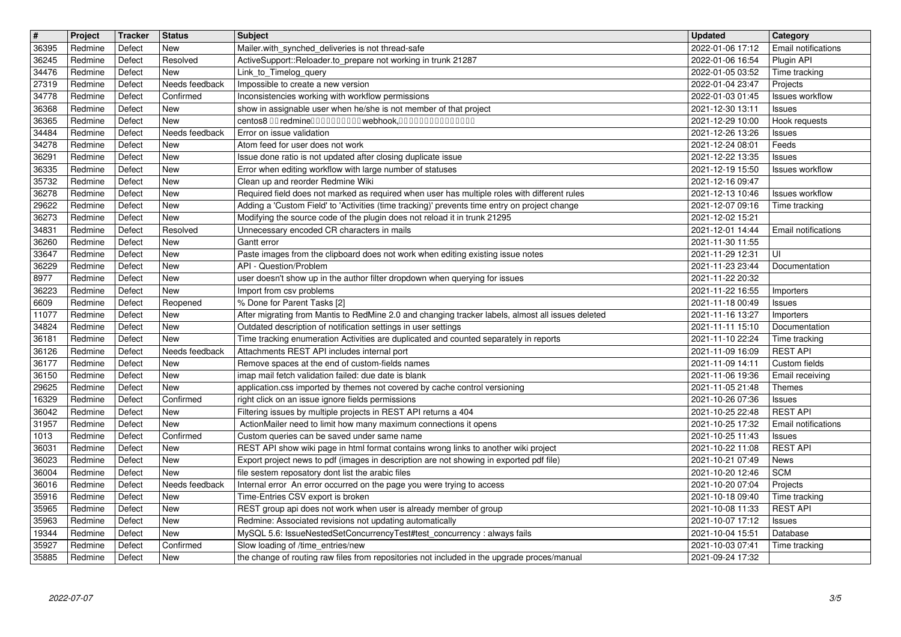| $\overline{\mathbf{H}}$ | Project            | Tracker          | <b>Status</b>    | <b>Subject</b>                                                                                                                                                                 | <b>Updated</b>                       | Category                                 |
|-------------------------|--------------------|------------------|------------------|--------------------------------------------------------------------------------------------------------------------------------------------------------------------------------|--------------------------------------|------------------------------------------|
| 36395                   | Redmine            | Defect           | New<br>Resolved  | Mailer.with_synched_deliveries is not thread-safe<br>ActiveSupport::Reloader.to_prepare not working in trunk 21287                                                             | 2022-01-06 17:12                     | <b>Email notifications</b><br>Plugin API |
| 36245<br>34476          | Redmine<br>Redmine | Defect<br>Defect | New              | Link_to_Timelog_query                                                                                                                                                          | 2022-01-06 16:54<br>2022-01-05 03:52 | Time tracking                            |
| 27319                   | Redmine            | Defect           | Needs feedback   | Impossible to create a new version                                                                                                                                             | 2022-01-04 23:47                     | Projects                                 |
| 34778                   | Redmine            | Defect           | Confirmed        | Inconsistencies working with workflow permissions                                                                                                                              | 2022-01-03 01:45                     | <b>Issues workflow</b>                   |
| 36368<br>36365          | Redmine<br>Redmine | Defect<br>Defect | New<br>New       | show in assignable user when he/she is not member of that project<br>centos8 00 redmine00000000000webhook,000000000000000                                                      | 2021-12-30 13:11<br>2021-12-29 10:00 | <b>Issues</b><br>Hook requests           |
| 34484                   | Redmine            | Defect           | Needs feedback   | Error on issue validation                                                                                                                                                      | 2021-12-26 13:26                     | <b>Issues</b>                            |
| 34278                   | Redmine            | Defect           | New              | Atom feed for user does not work                                                                                                                                               | 2021-12-24 08:01                     | Feeds                                    |
| 36291<br>36335          | Redmine<br>Redmine | Defect<br>Defect | New<br>New       | Issue done ratio is not updated after closing duplicate issue<br>Error when editing workflow with large number of statuses                                                     | 2021-12-22 13:35<br>2021-12-19 15:50 | <b>Issues</b><br>Issues workflow         |
| 35732                   | Redmine            | Defect           | New              | Clean up and reorder Redmine Wiki                                                                                                                                              | 2021-12-16 09:47                     |                                          |
| 36278                   | Redmine            | Defect           | New              | Required field does not marked as required when user has multiple roles with different rules                                                                                   | 2021-12-13 10:46                     | Issues workflow                          |
| 29622<br>36273          | Redmine<br>Redmine | Defect<br>Defect | New<br>New       | Adding a 'Custom Field' to 'Activities (time tracking)' prevents time entry on project change<br>Modifying the source code of the plugin does not reload it in trunk 21295     | 2021-12-07 09:16<br>2021-12-02 15:21 | Time tracking                            |
| 34831                   | Redmine            | Defect           | Resolved         | Unnecessary encoded CR characters in mails                                                                                                                                     | 2021-12-01 14:44                     | Email notifications                      |
| 36260<br>33647          | Redmine<br>Redmine | Defect<br>Defect | New<br>New       | Gantt error<br>Paste images from the clipboard does not work when editing existing issue notes                                                                                 | 2021-11-30 11:55<br>2021-11-29 12:31 | UI                                       |
| 36229                   | Redmine            | Defect           | New              | API - Question/Problem                                                                                                                                                         | 2021-11-23 23:44                     | Documentation                            |
| 8977<br>36223           | Redmine<br>Redmine | Defect<br>Defect | New<br>New       | user doesn't show up in the author filter dropdown when querying for issues<br>Import from csv problems                                                                        | 2021-11-22 20:32<br>2021-11-22 16:55 | Importers                                |
| 6609                    | Redmine            | Defect           | Reopened         | % Done for Parent Tasks [2]                                                                                                                                                    | 2021-11-18 00:49                     | <b>Issues</b>                            |
| 11077                   | Redmine            | Defect           | <b>New</b>       | After migrating from Mantis to RedMine 2.0 and changing tracker labels, almost all issues deleted                                                                              | 2021-11-16 13:27                     | Importers                                |
| 34824<br>36181          | Redmine<br>Redmine | Defect<br>Defect | New<br>New       | Outdated description of notification settings in user settings<br>Time tracking enumeration Activities are duplicated and counted separately in reports                        | 2021-11-11 15:10<br>2021-11-10 22:24 | Documentation<br>Time tracking           |
| 36126                   | Redmine            | Defect           | Needs feedback   | Attachments REST API includes internal port                                                                                                                                    | 2021-11-09 16:09                     | <b>REST API</b>                          |
| 36177<br>36150          | Redmine<br>Redmine | Defect<br>Defect | New<br>New       | Remove spaces at the end of custom-fields names<br>imap mail fetch validation failed: due date is blank                                                                        | 2021-11-09 14:11<br>2021-11-06 19:36 | Custom fields<br>Email receiving         |
| 29625                   | Redmine            | Defect           | New              | application.css imported by themes not covered by cache control versioning                                                                                                     | 2021-11-05 21:48                     | Themes                                   |
| 16329                   | Redmine            | Defect           | Confirmed        | right click on an issue ignore fields permissions                                                                                                                              | 2021-10-26 07:36                     | Issues                                   |
| 36042<br>31957          | Redmine<br>Redmine | Defect<br>Defect | New<br>New       | Filtering issues by multiple projects in REST API returns a 404<br>ActionMailer need to limit how many maximum connections it opens                                            | 2021-10-25 22:48<br>2021-10-25 17:32 | <b>REST API</b><br>Email notifications   |
| 1013                    | Redmine            | Defect           | Confirmed        | Custom queries can be saved under same name                                                                                                                                    | 2021-10-25 11:43                     | <b>Issues</b>                            |
| 36031<br>36023          | Redmine<br>Redmine | Defect<br>Defect | New<br>New       | REST API show wiki page in html format contains wrong links to another wiki project<br>Export project news to pdf (images in description are not showing in exported pdf file) | 2021-10-22 11:08<br>2021-10-21 07:49 | <b>REST API</b><br>News                  |
| 36004                   | Redmine            | Defect           | New              | file sestem reposatory dont list the arabic files                                                                                                                              | 2021-10-20 12:46                     | <b>SCM</b>                               |
| 36016                   | Redmine            | Defect           | Needs feedback   | Internal error An error occurred on the page you were trying to access                                                                                                         | 2021-10-20 07:04                     | Projects                                 |
| 35916<br>35965          | Redmine<br>Redmine | Defect<br>Defect | New<br>New       | Time-Entries CSV export is broken<br>REST group api does not work when user is already member of group                                                                         | 2021-10-18 09:40<br>2021-10-08 11:33 | Time tracking<br><b>REST API</b>         |
| 35963                   | Redmine            | Defect           | New              | Redmine: Associated revisions not updating automatically                                                                                                                       | 2021-10-07 17:12                     | <b>Issues</b>                            |
| 19344<br>35927          | Redmine<br>Redmine | Defect<br>Defect | New<br>Confirmed | MySQL 5.6: IssueNestedSetConcurrencyTest#test_concurrency : always fails<br>Slow loading of /time_entries/new                                                                  | 2021-10-04 15:51<br>2021-10-03 07:41 | Database<br>Time tracking                |
| 35885                   | Redmine            | Defect           | New              | the change of routing raw files from repositories not included in the upgrade proces/manual                                                                                    | 2021-09-24 17:32                     |                                          |
|                         |                    |                  |                  |                                                                                                                                                                                |                                      |                                          |
|                         |                    |                  |                  |                                                                                                                                                                                |                                      |                                          |
|                         |                    |                  |                  |                                                                                                                                                                                |                                      |                                          |
|                         |                    |                  |                  |                                                                                                                                                                                |                                      |                                          |
|                         |                    |                  |                  |                                                                                                                                                                                |                                      |                                          |
|                         |                    |                  |                  |                                                                                                                                                                                |                                      |                                          |
|                         |                    |                  |                  |                                                                                                                                                                                |                                      |                                          |
|                         |                    |                  |                  |                                                                                                                                                                                |                                      |                                          |
|                         |                    |                  |                  |                                                                                                                                                                                |                                      |                                          |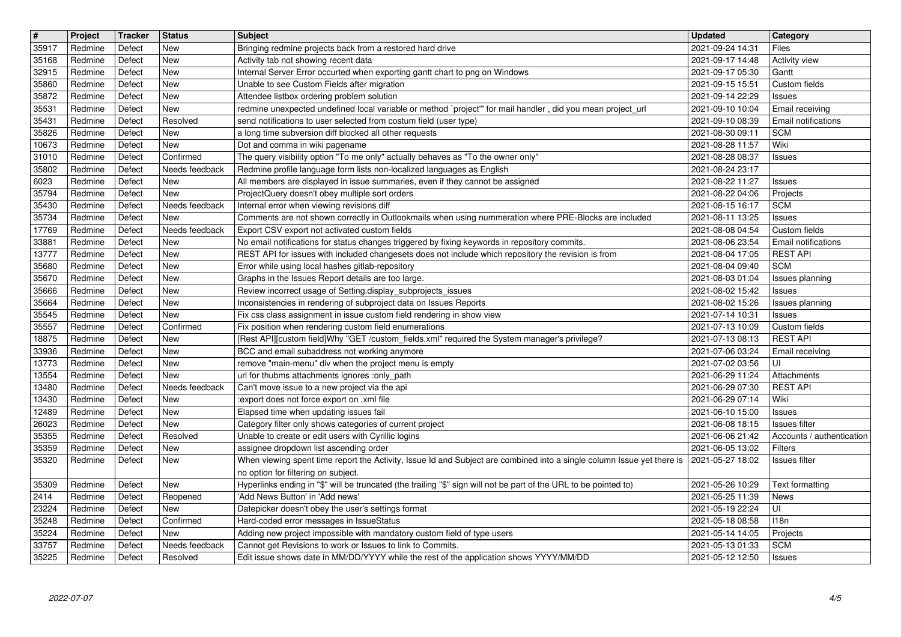| $\overline{\mathbf{H}}$ | Project            | Tracker          | <b>Status</b>              | <b>Subject</b>                                                                                                                                         | <b>Updated</b>                       | Category                           |
|-------------------------|--------------------|------------------|----------------------------|--------------------------------------------------------------------------------------------------------------------------------------------------------|--------------------------------------|------------------------------------|
| 35917                   | Redmine            | Defect           | New                        | Bringing redmine projects back from a restored hard drive                                                                                              | 2021-09-24 14:31                     | Files                              |
| 35168                   | Redmine            | Defect           | New                        | Activity tab not showing recent data                                                                                                                   | 2021-09-17 14:48                     | Activity view                      |
| 32915                   | Redmine            | Defect           | New<br>New                 | Internal Server Error occurted when exporting gantt chart to png on Windows<br>Unable to see Custom Fields after migration                             | 2021-09-17 05:30                     | Gantt<br>Custom fields             |
| 35860<br>35872          | Redmine<br>Redmine | Defect<br>Defect | New                        | Attendee listbox ordering problem solution                                                                                                             | 2021-09-15 15:51<br>2021-09-14 22:29 | Issues                             |
| 35531                   | Redmine            | Defect           | New                        | redmine unexpected undefined local variable or method `project'" for mail handler, did you mean project_url                                            | 2021-09-10 10:04                     | Email receiving                    |
| 35431                   | Redmine            | Defect           | Resolved                   | send notifications to user selected from costum field (user type)                                                                                      | 2021-09-10 08:39                     | <b>Email notifications</b>         |
| 35826                   | Redmine            | Defect           | New                        | a long time subversion diff blocked all other requests                                                                                                 | 2021-08-30 09:11                     | <b>SCM</b>                         |
| 10673                   | Redmine            | Defect           | New                        | Dot and comma in wiki pagename                                                                                                                         | 2021-08-28 11:57                     | Wiki                               |
| 31010                   | Redmine            | Defect           | Confirmed                  | The query visibility option "To me only" actually behaves as "To the owner only"                                                                       | 2021-08-28 08:37                     | Issues                             |
| 35802                   | Redmine            | Defect           | Needs feedback             | Redmine profile language form lists non-localized languages as English                                                                                 | 2021-08-24 23:17                     |                                    |
| 6023                    | Redmine            | Defect           | New                        | All members are displayed in issue summaries, even if they cannot be assigned                                                                          | 2021-08-22 11:27                     | Issues                             |
| 35794<br>35430          | Redmine<br>Redmine | Defect<br>Defect | New<br>Needs feedback      | ProjectQuery doesn't obey multiple sort orders<br>Internal error when viewing revisions diff                                                           | 2021-08-22 04:06<br>2021-08-15 16:17 | Projects<br><b>SCM</b>             |
| 35734                   | Redmine            | Defect           | New                        | Comments are not shown correctly in Outlookmails when using nummeration where PRE-Blocks are included                                                  | 2021-08-11 13:25                     | <b>Issues</b>                      |
| 17769                   | Redmine            | Defect           | Needs feedback             | Export CSV export not activated custom fields                                                                                                          | 2021-08-08 04:54                     | Custom fields                      |
| 33881                   | Redmine            | Defect           | New                        | No email notifications for status changes triggered by fixing keywords in repository commits.                                                          | 2021-08-06 23:54                     | Email notifications                |
| 13777                   | Redmine            | Defect           | <b>New</b>                 | REST API for issues with included changesets does not include which repository the revision is from                                                    | 2021-08-04 17:05                     | <b>REST API</b>                    |
| 35680                   | Redmine            | Defect           | <b>New</b>                 | Error while using local hashes gitlab-repository                                                                                                       | 2021-08-04 09:40                     | <b>SCM</b>                         |
| 35670                   | Redmine            | Defect           | New                        | Graphs in the Issues Report details are too large.                                                                                                     | 2021-08-03 01:04                     | Issues planning                    |
| 35666                   | Redmine            | Defect           | New                        | Review incorrect usage of Setting display_subprojects_issues                                                                                           | 2021-08-02 15:42                     | Issues                             |
| 35664                   | Redmine            | Defect           | New                        | Inconsistencies in rendering of subproject data on Issues Reports                                                                                      | 2021-08-02 15:26                     | Issues planning                    |
| 35545                   | Redmine            | Defect           | New                        | Fix css class assignment in issue custom field rendering in show view                                                                                  | 2021-07-14 10:31                     | Issues                             |
| 35557<br>18875          | Redmine<br>Redmine | Defect<br>Defect | Confirmed<br>New           | Fix position when rendering custom field enumerations<br>[Rest API][custom field]Why "GET /custom_fields.xml" required the System manager's privilege? | 2021-07-13 10:09<br>2021-07-13 08:13 | Custom fields<br><b>REST API</b>   |
| 33936                   | Redmine            | Defect           | New                        | BCC and email subaddress not working anymore                                                                                                           | 2021-07-06 03:24                     | Email receiving                    |
| 13773                   | Redmine            | Defect           | New                        | remove "main-menu" div when the project menu is empty                                                                                                  | 2021-07-02 03:56                     | UI                                 |
| 13554                   | Redmine            | Defect           | New                        | url for thubms attachments ignores :only_path                                                                                                          | 2021-06-29 11:24                     | Attachments                        |
| 13480                   | Redmine            | Defect           | Needs feedback             | Can't move issue to a new project via the api                                                                                                          | 2021-06-29 07:30                     | <b>REST API</b>                    |
| 13430                   | Redmine            | Defect           | New                        | :export does not force export on .xml file                                                                                                             | 2021-06-29 07:14                     | Wiki                               |
| 12489                   | Redmine            | Defect           | New                        | Elapsed time when updating issues fail                                                                                                                 | 2021-06-10 15:00                     | Issues                             |
| 26023                   | Redmine            | Defect           | New                        | Category filter only shows categories of current project                                                                                               | 2021-06-08 18:15                     | Issues filter                      |
| 35355                   | Redmine            | Defect           | Resolved                   | Unable to create or edit users with Cyrillic logins                                                                                                    | 2021-06-06 21:42                     | Accounts / authentication          |
| 35359                   | Redmine            | Defect           | New                        | assignee dropdown list ascending order                                                                                                                 | 2021-06-05 13:02                     | Filters                            |
| 35320                   | Redmine            | Defect           | New                        | When viewing spent time report the Activity, Issue Id and Subject are combined into a single column Issue yet there is                                 | 2021-05-27 18:02                     | <b>Issues filter</b>               |
|                         |                    |                  |                            | no option for filtering on subject.                                                                                                                    |                                      |                                    |
| 35309                   | Redmine            | Defect           | New                        | Hyperlinks ending in "\$" will be truncated (the trailing "\$" sign will not be part of the URL to be pointed to)                                      | 2021-05-26 10:29                     | Text formatting                    |
| 2414                    | Redmine            | Defect           | Reopened                   | 'Add News Button' in 'Add news'                                                                                                                        | 2021-05-25 11:39                     | News                               |
| 23224                   | Redmine            | Defect           | New                        | Datepicker doesn't obey the user's settings format                                                                                                     | 2021-05-19 22:24                     | $\overline{\overline{\mathsf{u}}}$ |
| 35248                   | Redmine            | Defect           | Confirmed                  | Hard-coded error messages in IssueStatus                                                                                                               | 2021-05-18 08:58                     | 118n                               |
| 35224                   | Redmine            | Defect           | New                        | Adding new project impossible with mandatory custom field of type users                                                                                | 2021-05-14 14:05                     | Projects                           |
| 33757<br>35225          | Redmine<br>Redmine | Defect<br>Defect | Needs feedback<br>Resolved | Cannot get Revisions to work or Issues to link to Commits.<br>Edit issue shows date in MM/DD/YYYY while the rest of the application shows YYYY/MM/DD   | 2021-05-13 01:33<br>2021-05-12 12:50 | <b>SCM</b><br><b>Issues</b>        |
|                         |                    |                  |                            |                                                                                                                                                        |                                      |                                    |
|                         |                    |                  |                            |                                                                                                                                                        |                                      |                                    |
|                         |                    |                  |                            |                                                                                                                                                        |                                      |                                    |
|                         |                    |                  |                            |                                                                                                                                                        |                                      |                                    |
|                         |                    |                  |                            |                                                                                                                                                        |                                      |                                    |
|                         |                    |                  |                            |                                                                                                                                                        |                                      |                                    |
|                         |                    |                  |                            |                                                                                                                                                        |                                      |                                    |
|                         |                    |                  |                            |                                                                                                                                                        |                                      |                                    |
|                         |                    |                  |                            |                                                                                                                                                        |                                      |                                    |
|                         |                    |                  |                            |                                                                                                                                                        |                                      |                                    |
|                         |                    |                  |                            |                                                                                                                                                        |                                      |                                    |
|                         |                    |                  |                            |                                                                                                                                                        |                                      |                                    |
|                         |                    |                  |                            |                                                                                                                                                        |                                      |                                    |
|                         |                    |                  |                            |                                                                                                                                                        |                                      |                                    |
|                         |                    |                  |                            |                                                                                                                                                        |                                      |                                    |